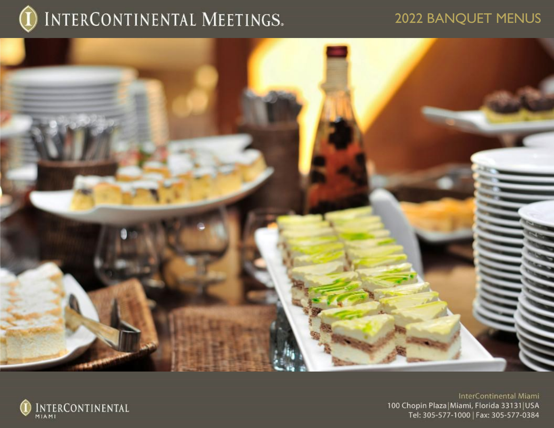

## 2022 BANQUET MENUS



INTERCONTINENTAL

InterContinental Miami 100 Chopin Plaza|Miami, Florida 33131|USA<br>Tel: 305-577-1000 | Fax: 305-577-0384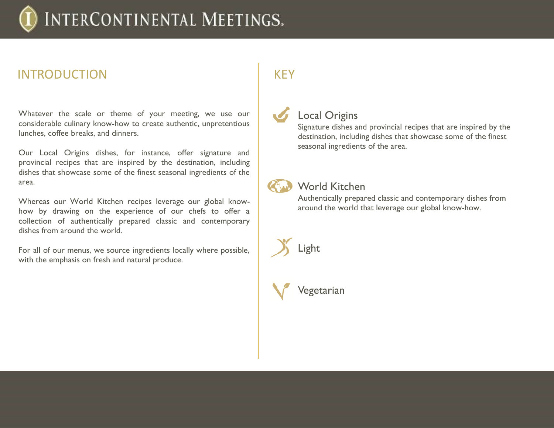## INTRODUCTION

Whatever the scale or theme of your meeting, we use our considerable culinary know-how to create authentic, unpretentious lunches, coffee breaks, and dinners.

Our Local Origins dishes, for instance, offer signature and provincial recipes that are inspired by the destination, including dishes that showcase some of the finest seasonal ingredients of the area.

Whereas our World Kitchen recipes leverage our global knowhow by drawing on the experience of our chefs to offer a collection of authentically prepared classic and contemporary dishes from around the world.

For all of our menus, we source ingredients locally where possible, with the emphasis on fresh and natural produce.

## **KEY**

## Local Origins

Signature dishes and provincial recipes that are inspired by the destination, including dishes that showcase some of the finest seasonal ingredients of the area.

World Kitchen

Authentically prepared classic and contemporary dishes from around the world that leverage our global know-how.



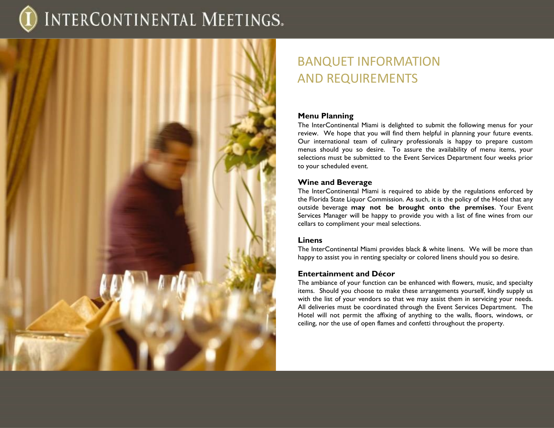

## BANQUET INFORMATION AND REQUIREMENTS

### **Menu Planning**

The InterContinental Miami is delighted to submit the following menus for your review. We hope that you will find them helpful in planning your future events. Our international team of culinary professionals is happy to prepare custom menus should you so desire. To assure the availability of menu items, your selections must be submitted to the Event Services Department four weeks prior to your scheduled event.

### **Wine and Beverage**

The InterContinental Miami is required to abide by the regulations enforced by the Florida State Liquor Commission. As such, it is the policy of the Hotel that any outside beverage **may not be brought onto the premises**. Your Event Services Manager will be happy to provide you with a list of fine wines from our cellars to compliment your meal selections.

### **Linens**

The InterContinental Miami provides black & white linens. We will be more than happy to assist you in renting specialty or colored linens should you so desire.

### **Entertainment and Décor**

The ambiance of your function can be enhanced with flowers, music, and specialty items. Should you choose to make these arrangements yourself, kindly supply us with the list of your vendors so that we may assist them in servicing your needs. All deliveries must be coordinated through the Event Services Department. The Hotel will not permit the affixing of anything to the walls, floors, windows, or ceiling, nor the use of open flames and confetti throughout the property.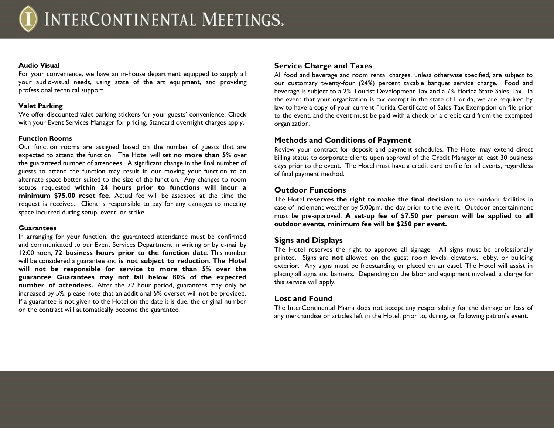#### **Audio Visual**

For your convenience, we have an in-house department equipped to supply all your audio-visual needs, using state of the art equipment, and providing professional technical support.

#### **Valet Parking**

We offer discounted valet parking stickers for your guests' convenience. Check with your Event Services Manager for pricing. Standard overnight charges apply.

### **Function Rooms**

Our function rooms are assigned based on the number of guests that are expected to attend the function. The Hotel will set **no more than 5%** over the guaranteed number of attendees. A significant change in the final number of guests to attend the function may result in our moving your function to an alternate space better suited to the size of the function. Any changes to room setups requested **within 24 hours prior to functions will incur a minimum \$75.00 reset fee.** Actual fee will be assessed at the time the request is received. Client is responsible to pay for any damages to meeting space incurred during setup, event, or strike.

#### **Guarantees**

In arranging for your function, the guaranteed attendance must be confirmed and communicated to our Event Services Department in writing or by e-mail by 12:00 noon, **72 business hours prior to the function date**. This number will be considered a guarantee and **is not subject to reduction**. **The Hotel will not be responsible for service to more than 5% over the guarantee**. **Guarantees may not fall below 80% of the expected number of attendees.** After the 72 hour period, guarantees may only be increased by 5%; please note that an additional 5% overset will not be provided. If a guarantee is not given to the Hotel on the date it is due, the original number on the contract will automatically become the guarantee.

### **Service Charge and Taxes**

All food and beverage and room rental charges, unless otherwise specified, are subject to our customary twenty-four (24%) percent taxable banquet service charge. Food and beverage is subject to a 2% Tourist Development Tax and a 7% Florida State Sales Tax. In the event that your organization is tax exempt in the state of Florida, we are required by law to have a copy of your current Florida Certificate of Sales Tax Exemption on file prior to the event, and the event must be paid with a check or a credit card from the exempted organization.

### **Methods and Conditions of Payment**

Review your contract for deposit and payment schedules. The Hotel may extend direct billing status to corporate clients upon approval of the Credit Manager at least 30 business days prior to the event. The Hotel must have a credit card on file for all events, regardless of final payment method.

### **Outdoor Functions**

The Hotel **reserves the right to make the final decision** to use outdoor facilities in case of inclement weather by 5:00pm, the day prior to the event. Outdoor entertainment must be pre-approved. **A set-up fee of \$7.50 per person will be applied to all outdoor events, minimum fee will be \$250 per event.**

### **Signs and Displays**

The Hotel reserves the right to approve all signage. All signs must be professionally printed. Signs are **not** allowed on the guest room levels, elevators, lobby, or building exterior. Any signs must be freestanding or placed on an easel. The Hotel will assist in placing all signs and banners. Depending on the labor and equipment involved, a charge for this service will apply.

### **Lost and Found**

The InterContinental Miami does not accept any responsibility for the damage or loss of any merchandise or articles left in the Hotel, prior to, during, or following patron's event.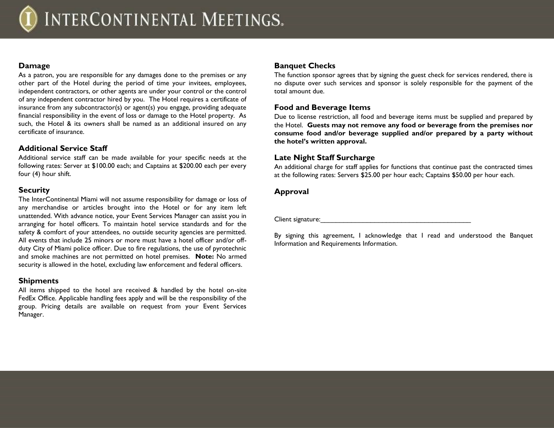### **Damage**

As a patron, you are responsible for any damages done to the premises or any other part of the Hotel during the period of time your invitees, employees, independent contractors, or other agents are under your control or the control of any independent contractor hired by you. The Hotel requires a certificate of insurance from any subcontractor(s) or agent(s) you engage, providing adequate financial responsibility in the event of loss or damage to the Hotel property. As such, the Hotel & its owners shall be named as an additional insured on any certificate of insurance.

### **Additional Service Staff**

Additional service staff can be made available for your specific needs at the following rates: Server at \$100.00 each; and Captains at \$200.00 each per every four (4) hour shift.

### **Security**

The InterContinental Miami will not assume responsibility for damage or loss of any merchandise or articles brought into the Hotel or for any item left unattended. With advance notice, your Event Services Manager can assist you in arranging for hotel officers. To maintain hotel service standards and for the safety & comfort of your attendees, no outside security agencies are permitted. All events that include 25 minors or more must have a hotel officer and/or offduty City of Miami police officer. Due to fire regulations, the use of pyrotechnic and smoke machines are not permitted on hotel premises. **Note:** No armed security is allowed in the hotel, excluding law enforcement and federal officers.

### **Shipments**

All items shipped to the hotel are received & handled by the hotel on-site FedEx Office. Applicable handling fees apply and will be the responsibility of the group. Pricing details are available on request from your Event Services Manager.

### **Banquet Checks**

The function sponsor agrees that by signing the guest check for services rendered, there is no dispute over such services and sponsor is solely responsible for the payment of the total amount due.

### **Food and Beverage Items**

Due to license restriction, all food and beverage items must be supplied and prepared by the Hotel. **Guests may not remove any food or beverage from the premises nor consume food and/or beverage supplied and/or prepared by a party without the hotel's written approval.**

### **Late Night Staff Surcharge**

An additional charge for staff applies for functions that continue past the contracted times at the following rates: Servers \$25.00 per hour each; Captains \$50.00 per hour each.

### **Approval**

Client signature:

By signing this agreement, I acknowledge that I read and understood the Banquet Information and Requirements Information.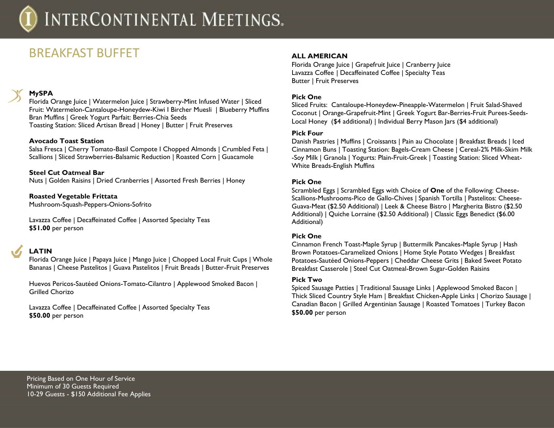## BREAKFAST BUFFET

### **MySPA**

Florida Orange Juice | Watermelon Juice | Strawberry-Mint Infused Water | Sliced Fruit: Watermelon-Cantaloupe-Honeydew-Kiwi I Bircher Muesli | Blueberry Muffins Bran Muffins | Greek Yogurt Parfait: Berries-Chia Seeds Toasting Station: Sliced Artisan Bread | Honey | Butter | Fruit Preserves

### **Avocado Toast Station**

Salsa Fresca | Cherry Tomato-Basil Compote I Chopped Almonds | Crumbled Feta | Scallions | Sliced Strawberries-Balsamic Reduction | Roasted Corn | Guacamole

### **Steel Cut Oatmeal Bar**

Nuts | Golden Raisins | Dried Cranberries | Assorted Fresh Berries | Honey

**Roasted Vegetable Frittata** Mushroom-Squash-Peppers-Onions-Sofrito

Lavazza Coffee | Decaffeinated Coffee | Assorted Specialty Teas **\$51.00** per person

### **LATIN**

Florida Orange Juice | Papaya Juice | Mango Juice | Chopped Local Fruit Cups | Whole Bananas | Cheese Pastelitos | Guava Pastelitos | Fruit Breads | Butter-Fruit Preserves

Huevos Pericos-Sautéed Onions-Tomato-Cilantro | Applewood Smoked Bacon | Grilled Chorizo

Lavazza Coffee | Decaffeinated Coffee | Assorted Specialty Teas **\$50.00** per person

### **ALL AMERICAN**

Florida Orange Juice | Grapefruit Juice | Cranberry Juice Lavazza Coffee | Decaffeinated Coffee | Specialty Teas Butter | Fruit Preserves

### **Pick One**

Sliced Fruits: Cantaloupe-Honeydew-Pineapple-Watermelon | Fruit Salad-Shaved Coconut | Orange-Grapefruit-Mint | Greek Yogurt Bar-Berries-Fruit Purees-Seeds-Local Honey (\$4 additional) | Individual Berry Mason Jars (\$4 additional)

### **Pick Four**

Danish Pastries | Muffins | Croissants | Pain au Chocolate | Breakfast Breads | Iced Cinnamon Buns | Toasting Station: Bagels-Cream Cheese | Cereal-2% Milk-Skim Milk -Soy Milk | Granola | Yogurts: Plain-Fruit-Greek | Toasting Station: Sliced Wheat-White Breads-English Muffins

### **Pick One**

Scrambled Eggs | Scrambled Eggs with Choice of **One** of the Following: Cheese-Scallions-Mushrooms-Pico de Gallo-Chives | Spanish Tortilla | Pastelitos: Cheese-Guava-Meat (\$2.50 Additional) | Leek & Cheese Bistro | Margherita Bistro (\$2.50 Additional) | Quiche Lorraine (\$2.50 Additional) | Classic Eggs Benedict (\$6.00 Additional)

### **Pick One**

Cinnamon French Toast-Maple Syrup | Buttermilk Pancakes-Maple Syrup | Hash Brown Potatoes-Caramelized Onions | Home Style Potato Wedges | Breakfast Potatoes-Sautéed Onions-Peppers | Cheddar Cheese Grits | Baked Sweet Potato Breakfast Casserole | Steel Cut Oatmeal-Brown Sugar-Golden Raisins

#### **Pick Two**

Spiced Sausage Patties | Traditional Sausage Links | Applewood Smoked Bacon | Thick Sliced Country Style Ham | Breakfast Chicken-Apple Links | Chorizo Sausage | Canadian Bacon | Grilled Argentinian Sausage | Roasted Tomatoes | Turkey Bacon **\$50.00** per person

Pricing Based on One Hour of Service Minimum of 30 Guests Required 10-29 Guests - \$150 Additional Fee Applies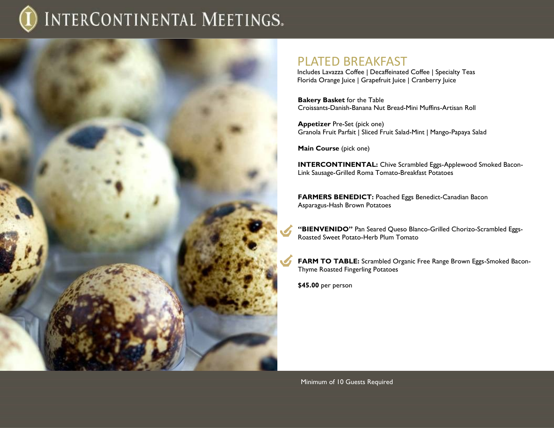

### PLATED BREAKFAST

Includes Lavazza Coffee | Decaffeinated Coffee | Specialty Teas Florida Orange Juice | Grapefruit Juice | Cranberry Juice

**Bakery Basket** for the Table Croissants-Danish-Banana Nut Bread-Mini Muffins-Artisan Roll

**Appetizer** Pre-Set (pick one) Granola Fruit Parfait | Sliced Fruit Salad-Mint | Mango-Papaya Salad

**Main Course** (pick one)

**INTERCONTINENTAL:** Chive Scrambled Eggs-Applewood Smoked Bacon-Link Sausage-Grilled Roma Tomato-Breakfast Potatoes

**FARMERS BENEDICT:** Poached Eggs Benedict-Canadian Bacon Asparagus-Hash Brown Potatoes

**"BIENVENIDO"** Pan Seared Queso Blanco-Grilled Chorizo-Scrambled Eggs-Roasted Sweet Potato-Herb Plum Tomato

**FARM TO TABLE:** Scrambled Organic Free Range Brown Eggs-Smoked Bacon-Thyme Roasted Fingerling Potatoes

**\$45.00** per person

Minimum of 10 Guests Required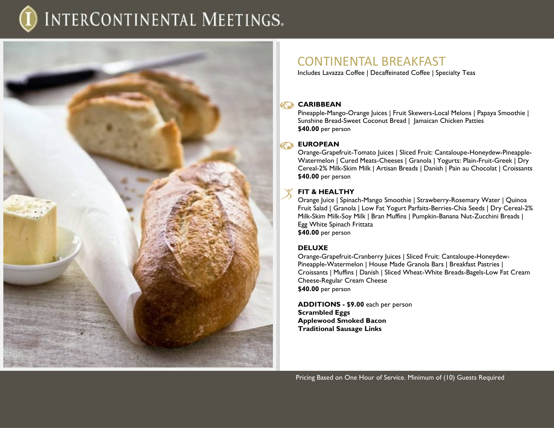

### CONTINENTAL BREAKFAST

Includes Lavazza Coffee | Decaffeinated Coffee | Specialty Teas

### **CARIBBEAN**

Pineapple-Mango-Orange Juices | Fruit Skewers-Local Melons | Papaya Smoothie | Sunshine Bread-Sweet Coconut Bread | Jamaican Chicken Patties **\$40.00** per person

### **EUROPEAN**

Orange-Grapefruit-Tomato Juices | Sliced Fruit: Cantaloupe-Honeydew-Pineapple-Watermelon | Cured Meats-Cheeses | Granola | Yogurts: Plain-Fruit-Greek | Dry Cereal-2% Milk-Skim Milk | Artisan Breads | Danish | Pain au Chocolat | Croissants **\$40.00** per person

### **FIT & HEALTHY**

Orange Juice | Spinach-Mango Smoothie | Strawberry-Rosemary Water | Quinoa Fruit Salad | Granola | Low Fat Yogurt Parfaits-Berries-Chia Seeds | Dry Cereal-2% Milk-Skim Milk-Soy Milk | Bran Muffins | Pumpkin-Banana Nut-Zucchini Breads | Egg White Spinach Frittata **\$40.00** per person

### **DELUXE**

Orange-Grapefruit-Cranberry Juices | Sliced Fruit: Cantaloupe-Honeydew-Pineapple-Watermelon | House Made Granola Bars | Breakfast Pastries | Croissants | Muffins | Danish | Sliced Wheat-White Breads-Bagels-Low Fat Cream Cheese-Regular Cream Cheese **\$40.00** per person

**ADDITIONS - \$9.00** each per person **Scrambled Eggs Applewood Smoked Bacon Traditional Sausage Links**

Pricing Based on One Hour of Service. Minimum of (10) Guests Required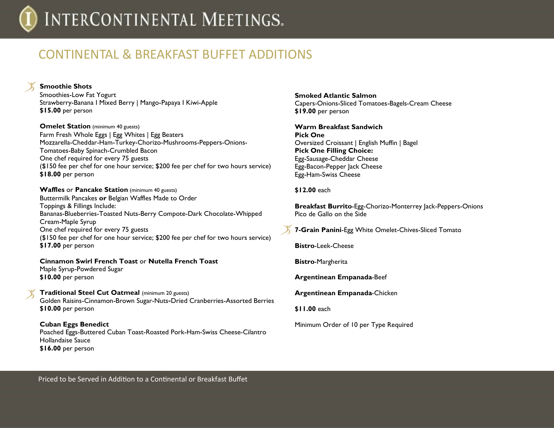## CONTINENTAL & BREAKFAST BUFFET ADDITIONS

**Smoothie Shots** Smoothies-Low Fat Yogurt Strawberry-Banana I Mixed Berry | Mango-Papaya I Kiwi-Apple **\$15.00** per person

**Omelet Station** (minimum 40 guests) Farm Fresh Whole Eggs | Egg Whites | Egg Beaters Mozzarella-Cheddar-Ham-Turkey-Chorizo-Mushrooms-Peppers-Onions-Tomatoes-Baby Spinach-Crumbled Bacon One chef required for every 75 guests (\$150 fee per chef for one hour service; \$200 fee per chef for two hours service) **\$18.00** per person

**Waffles** or **Pancake Station** (minimum 40 guests) Buttermilk Pancakes **or** Belgian Waffles Made to Order Toppings & Fillings Include: Bananas-Blueberries-Toasted Nuts-Berry Compote-Dark Chocolate-Whipped Cream-Maple Syrup One chef required for every 75 guests (\$150 fee per chef for one hour service; \$200 fee per chef for two hours service) **\$17.00** per person

### **Cinnamon Swirl French Toast** or **Nutella French Toast**

Maple Syrup-Powdered Sugar **\$10.00** per person

**Traditional Steel Cut Oatmeal** (minimum 20 guests) Golden Raisins-Cinnamon-Brown Sugar-Nuts-Dried Cranberries-Assorted Berries **\$10.00** per person

**Cuban Eggs Benedict**  Poached Eggs-Buttered Cuban Toast-Roasted Pork-Ham-Swiss Cheese-Cilantro Hollandaise Sauce **\$16.00** per person

**Smoked Atlantic Salmon**  Capers-Onions-Sliced Tomatoes-Bagels-Cream Cheese **\$19.00** per person

**Warm Breakfast Sandwich Pick One** Oversized Croissant | English Muffin | Bagel **Pick One Filling Choice:** Egg-Sausage-Cheddar Cheese Egg-Bacon-Pepper Jack Cheese Egg-Ham-Swiss Cheese

### **\$12.00** each

**Breakfast Burrito**-Egg-Chorizo-Monterrey Jack-Peppers-Onions Pico de Gallo on the Side

**7-Grain Panini**-Egg White Omelet-Chives-Sliced Tomato

**Bistro**-Leek-Cheese

**Bistro**-Margherita

**Argentinean Empanada**-Beef

**Argentinean Empanada**-Chicken

**\$11.00** each

Minimum Order of 10 per Type Required

Priced to be Served in Addition to a Continental or Breakfast Buffet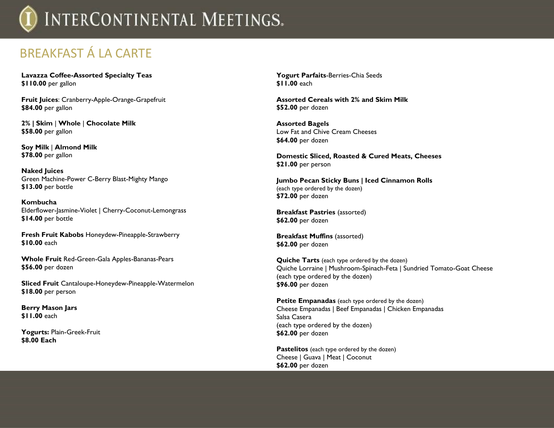## BREAKFAST Á LA CARTE

**Lavazza Coffee-Assorted Specialty Teas \$110.00** per gallon

**Fruit Juices**: Cranberry-Apple-Orange-Grapefruit **\$84.00** per gallon

**2% | Skim** | **Whole** | **Chocolate Milk \$58.00** per gallon

**Soy Milk** | **Almond Milk \$78.00** per gallon

**Naked Juices** Green Machine-Power C-Berry Blast-Mighty Mango **\$13.00** per bottle

**Kombucha** Elderflower-Jasmine-Violet | Cherry-Coconut-Lemongrass **\$14.00** per bottle

**Fresh Fruit Kabobs** Honeydew-Pineapple-Strawberry **\$10.00** each

**Whole Fruit** Red-Green-Gala Apples-Bananas-Pears **\$56.00** per dozen

**Sliced Fruit** Cantaloupe-Honeydew-Pineapple-Watermelon **\$18.00** per person

**Berry Mason Jars \$11.00** each

**Yogurts:** Plain-Greek-Fruit **\$8.00 Each**

**Yogurt Parfaits**-Berries-Chia Seeds **\$11.00** each

**Assorted Cereals with 2% and Skim Milk \$52.00** per dozen

**Assorted Bagels**  Low Fat and Chive Cream Cheeses **\$64.00** per dozen

**Domestic Sliced, Roasted & Cured Meats, Cheeses \$21.00** per person

**Jumbo Pecan Sticky Buns | Iced Cinnamon Rolls** (each type ordered by the dozen) **\$72.00** per dozen

**Breakfast Pastries** (assorted) **\$62.00** per dozen

**Breakfast Muffins** (assorted) **\$62.00** per dozen

**Quiche Tarts** (each type ordered by the dozen) Quiche Lorraine | Mushroom-Spinach-Feta | Sundried Tomato-Goat Cheese (each type ordered by the dozen) **\$96.00** per dozen

**Petite Empanadas** (each type ordered by the dozen) Cheese Empanadas | Beef Empanadas | Chicken Empanadas Salsa Casera (each type ordered by the dozen) **\$62.00** per dozen

**Pastelitos** (each type ordered by the dozen) Cheese | Guava | Meat | Coconut **\$62.00** per dozen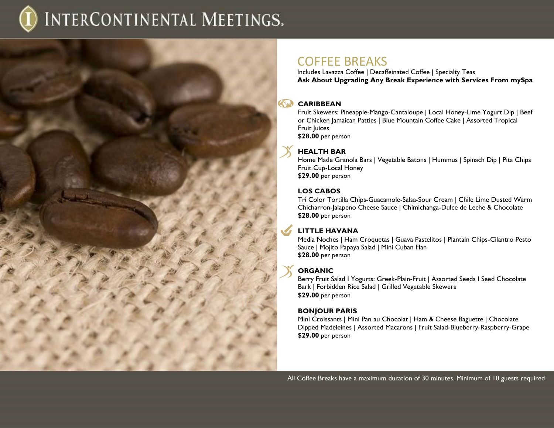

Includes Lavazza Coffee | Decaffeinated Coffee | Specialty Teas **Ask About Upgrading Any Break Experience with Services From mySpa**

### **CARIBBEAN**

Fruit Skewers: Pineapple-Mango-Cantaloupe | Local Honey-Lime Yogurt Dip | Beef or Chicken Jamaican Patties | Blue Mountain Coffee Cake | Assorted Tropical Fruit Juices **\$28.00** per person

### **HEALTH BAR**

Home Made Granola Bars | Vegetable Batons | Hummus | Spinach Dip | Pita Chips Fruit Cup-Local Honey **\$29.00** per person

### **LOS CABOS**

Tri Color Tortilla Chips-Guacamole-Salsa-Sour Cream | Chile Lime Dusted Warm Chicharron-Jalapeno Cheese Sauce | Chimichanga-Dulce de Leche & Chocolate **\$28.00** per person

### **LITTLE HAVANA**

Media Noches | Ham Croquetas | Guava Pastelitos | Plantain Chips-Cilantro Pesto Sauce | Mojito Papaya Salad | Mini Cuban Flan **\$28.00** per person

### **ORGANIC**

Berry Fruit Salad I Yogurts: Greek-Plain-Fruit | Assorted Seeds I Seed Chocolate Bark | Forbidden Rice Salad | Grilled Vegetable Skewers **\$29.00** per person

### **BONJOUR PARIS**

Mini Croissants | Mini Pan au Chocolat | Ham & Cheese Baguette | Chocolate Dipped Madeleines | Assorted Macarons | Fruit Salad-Blueberry-Raspberry-Grape **\$29.00** per person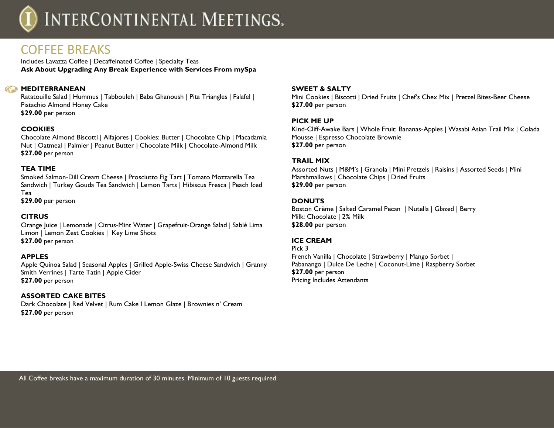

### COFFEE BREAKS

Includes Lavazza Coffee | Decaffeinated Coffee | Specialty Teas **Ask About Upgrading Any Break Experience with Services From mySpa**

### **KO** MEDITERRANEAN

Ratatouille Salad | Hummus | Tabbouleh | Baba Ghanoush | Pita Triangles | Falafel | Pistachio Almond Honey Cake **\$29.00** per person

### **COOKIES**

Chocolate Almond Biscotti | Alfajores | Cookies: Butter | Chocolate Chip | Macadamia Nut | Oatmeal | Palmier | Peanut Butter | Chocolate Milk | Chocolate-Almond Milk **\$27.00** per person

### **TEA TIME**

Smoked Salmon-Dill Cream Cheese | Prosciutto Fig Tart | Tomato Mozzarella Tea Sandwich | Turkey Gouda Tea Sandwich | Lemon Tarts | Hibiscus Fresca | Peach Iced Tea

**\$29.00** per person

### **CITRUS**

Orange Juice | Lemonade | Citrus-Mint Water | Grapefruit-Orange Salad | Sablé Lima Limon | Lemon Zest Cookies | Key Lime Shots **\$27.00** per person

#### **APPLES**

Apple Quinoa Salad | Seasonal Apples | Grilled Apple-Swiss Cheese Sandwich | Granny Smith Verrines | Tarte Tatin | Apple Cider **\$27.00** per person

#### **ASSORTED CAKE BITES**

Dark Chocolate | Red Velvet | Rum Cake I Lemon Glaze | Brownies n' Cream **\$27.00** per person

#### **SWEET & SALTY**

Mini Cookies | Biscotti | Dried Fruits | Chef's Chex Mix | Pretzel Bites-Beer Cheese **\$27.00** per person

#### **PICK ME UP**

Kind-Cliff-Awake Bars | Whole Fruit: Bananas-Apples | Wasabi Asian Trail Mix | Colada Mousse | Espresso Chocolate Brownie **\$27.00** per person

#### **TRAIL MIX**

Assorted Nuts | M&M's | Granola | Mini Pretzels | Raisins | Assorted Seeds | Mini Marshmallows | Chocolate Chips | Dried Fruits **\$29.00** per person

#### **DONUTS**

Boston Crème | Salted Caramel Pecan | Nutella | Glazed | Berry Milk: Chocolate | 2% Milk **\$28.00** per person

### **ICE CREAM**

Pick 3 French Vanilla | Chocolate | Strawberry | Mango Sorbet | Pabanango | Dulce De Leche | Coconut-Lime | Raspberry Sorbet **\$27.00** per person Pricing Includes Attendants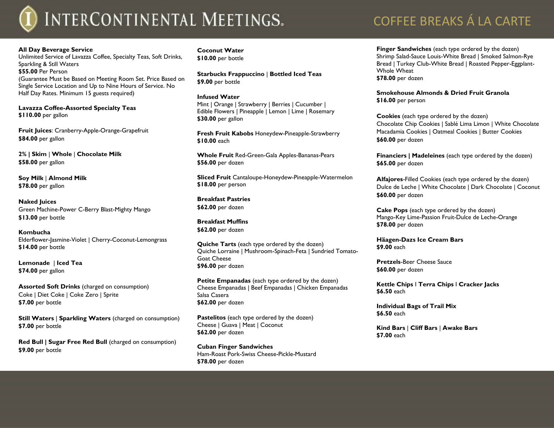#### **All Day Beverage Service**

Unlimited Service of Lavazza Coffee, Specialty Teas, Soft Drinks, Sparkling & Still Waters **\$55.00** Per Person (Guarantee Must be Based on Meeting Room Set. Price Based on Single Service Location and Up to Nine Hours of Service. No Half Day Rates. Minimum 15 guests required)

**Lavazza Coffee-Assorted Specialty Teas \$110.00** per gallon

**Fruit Juices**: Cranberry-Apple-Orange-Grapefruit **\$84.00** per gallon

**2% | Skim** | **Whole** | **Chocolate Milk \$58.00** per gallon

**Soy Milk** | **Almond Milk \$78.00** per gallon

**Naked Juices** Green Machine-Power C-Berry Blast-Mighty Mango **\$13.00** per bottle

**Kombucha** Elderflower-Jasmine-Violet | Cherry-Coconut-Lemongrass **\$14.00** per bottle

**Lemonade** | **Iced Tea \$74.00** per gallon

**Assorted Soft Drinks** (charged on consumption) Coke | Diet Coke | Coke Zero | Sprite **\$7.00** per bottle

**Still Waters** | **Sparkling Waters** (charged on consumption) **\$7.00** per bottle

**Red Bull | Sugar Free Red Bull** (charged on consumption) **\$9.00** per bottle

**Coconut Water \$10.00** per bottle

**Starbucks Frappuccino** | **Bottled Iced Teas \$9.00** per bottle

#### **Infused Water**

Mint | Orange | Strawberry | Berries | Cucumber | Edible Flowers | Pineapple | Lemon | Lime | Rosemary **\$30.00** per gallon

**Fresh Fruit Kabobs** Honeydew-Pineapple-Strawberry **\$10.00** each

**Whole Fruit** Red-Green-Gala Apples-Bananas-Pears **\$56.00** per dozen

**Sliced Fruit** Cantaloupe-Honeydew-Pineapple-Watermelon **\$18.00** per person

**Breakfast Pastries \$62.00** per dozen

**Breakfast Muffins \$62.00** per dozen

**Quiche Tarts** (each type ordered by the dozen) Quiche Lorraine | Mushroom-Spinach-Feta | Sundried Tomato-Goat Cheese **\$96.00** per dozen

**Petite Empanadas** (each type ordered by the dozen) Cheese Empanadas | Beef Empanadas | Chicken Empanadas Salsa Casera **\$62.00** per dozen

**Pastelitos** (each type ordered by the dozen) Cheese | Guava | Meat | Coconut **\$62.00** per dozen

**Cuban Finger Sandwiches** Ham-Roast Pork-Swiss Cheese-Pickle-Mustard **\$78.00** per dozen

## COFFEE BREAKS Á LA CARTE

**Finger Sandwiches** (each type ordered by the dozen) Shrimp Salad-Sauce Louis-White Bread | Smoked Salmon-Rye Bread | Turkey Club-White Bread | Roasted Pepper-Eggplant-Whole Wheat **\$78.00** per dozen

**Smokehouse Almonds & Dried Fruit Granola \$16.00** per person

**Cookies** (each type ordered by the dozen) Chocolate Chip Cookies | Sablé Lima Limon | White Chocolate Macadamia Cookies | Oatmeal Cookies | Butter Cookies **\$60.00** per dozen

**Financiers | Madeleines** (each type ordered by the dozen) **\$65.00** per dozen

**Alfajores**-Filled Cookies (each type ordered by the dozen) Dulce de Leche | White Chocolate | Dark Chocolate | Coconut **\$60.00** per dozen

**Cake Pops** (each type ordered by the dozen) Mango-Key Lime-Passion Fruit-Dulce de Leche-Orange **\$78.00** per dozen

**Häagen-Dazs Ice Cream Bars \$9.00** each

**Pretzels**-Beer Cheese Sauce **\$60.00** per dozen

**Kettle Chips** I **Terra Chips** I **Cracker Jacks \$6.50** each

**Individual Bags of Trail Mix \$6.50** each

**Kind Bars** | **Cliff Bars** | **Awake Bars \$7.00** each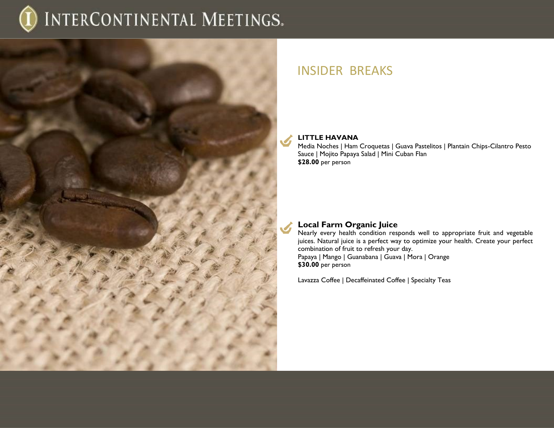

### INSIDER BREAKS

### **LITTLE HAVANA**

Media Noches | Ham Croquetas | Guava Pastelitos | Plantain Chips-Cilantro Pesto Sauce | Mojito Papaya Salad | Mini Cuban Flan **\$28.00** per person

### **Local Farm Organic Juice**

Nearly every health condition responds well to appropriate fruit and vegetable juices. Natural juice is a perfect way to optimize your health. Create your perfect combination of fruit to refresh your day. Papaya | Mango | Guanabana | Guava | Mora | Orange **\$30.00** per person

Lavazza Coffee | Decaffeinated Coffee | Specialty Teas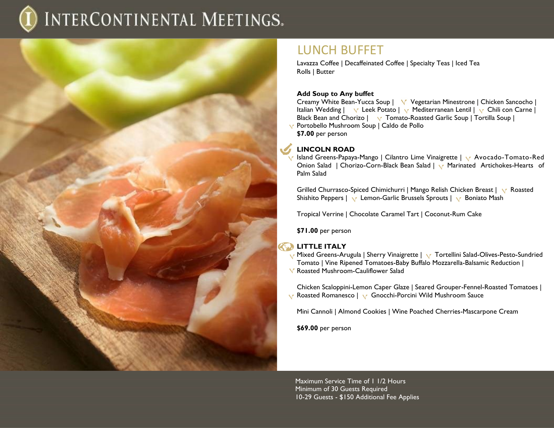

### LUNCH BUFFET

Lavazza Coffee | Decaffeinated Coffee | Specialty Teas | Iced Tea Rolls | Butter

### **Add Soup to Any buffet**

Creamy White Bean-Yucca Soup | V Vegetarian Minestrone | Chicken Sancocho | Italian Wedding |  $\vee$  Leek Potato |  $\vee$  Mediterranean Lentil |  $\vee$  Chili con Carne | Black Bean and Chorizo  $|\cdot \cdot \cdot|$  Tomato-Roasted Garlic Soup | Tortilla Soup | Portobello Mushroom Soup | Caldo de Pollo **\$7.00** per person

### **LINCOLN ROAD**

**Island Greens-Papaya-Mango | Cilantro Lime Vinaigrette | v Avocado-Tomato-Red** Onion Salad | Chorizo-Corn-Black Bean Salad | v Marinated Artichokes-Hearts of Palm Salad

Grilled Churrasco-Spiced Chimichurri | Mango Relish Chicken Breast | Y Roasted Shishito Peppers | v Lemon-Garlic Brussels Sprouts | v Boniato Mash

Tropical Verrine | Chocolate Caramel Tart | Coconut-Rum Cake

**\$71.00** per person

### **LITTLE ITALY**

- Mixed Greens-Arugula | Sherry Vinaigrette | v Tortellini Salad-Olives-Pesto-Sundried Tomato | Vine Ripened Tomatoes-Baby Buffalo Mozzarella-Balsamic Reduction |
- Roasted Mushroom-Cauliflower Salad

Chicken Scaloppini-Lemon Caper Glaze | Seared Grouper-Fennel-Roasted Tomatoes | **Ex** Roasted Romanesco | **V** Gnocchi-Porcini Wild Mushroom Sauce

Mini Cannoli | Almond Cookies | Wine Poached Cherries-Mascarpone Cream

**\$69.00** per person

Maximum Service Time of 1 1/2 Hours Minimum of 30 Guests Required 10-29 Guests - \$150 Additional Fee Applies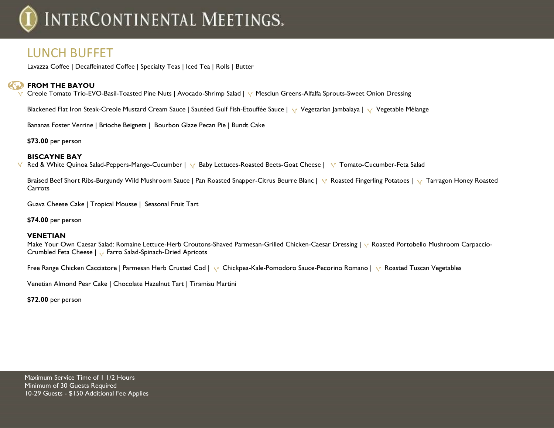### LUNCH BUFFET

Lavazza Coffee | Decaffeinated Coffee | Specialty Teas | Iced Tea | Rolls | Butter

### **FROM THE BAYOU**

V Creole Tomato Trio-EVO-Basil-Toasted Pine Nuts | Avocado-Shrimp Salad | V Mesclun Greens-Alfalfa Sprouts-Sweet Onion Dressing

Blackened Flat Iron Steak-Creole Mustard Cream Sauce | Sautéed Gulf Fish-Etouffée Sauce | Vegetarian Jambalaya *|* Vegetable Mélange

Bananas Foster Verrine | Brioche Beignets | Bourbon Glaze Pecan Pie | Bundt Cake

**\$73.00** per person

### **BISCAYNE BAY**

Red & White Quinoa Salad-Peppers-Mango-Cucumber | v Baby Lettuces-Roasted Beets-Goat Cheese | v Tomato-Cucumber-Feta Salad  $\sqrt{ }$ 

Braised Beef Short Ribs-Burgundy Wild Mushroom Sauce | Pan Roasted Snapper-Citrus Beurre Blanc | Y Roasted Fingerling Potatoes | Y Tarragon Honey Roasted **Carrots** 

Guava Cheese Cake | Tropical Mousse | Seasonal Fruit Tart

**\$74.00** per person

### **VENETIAN**

Make Your Own Caesar Salad: Romaine Lettuce-Herb Croutons-Shaved Parmesan-Grilled Chicken-Caesar Dressing | & Roasted Portobello Mushroom Carpaccio-Crumbled Feta Cheese | Farro Salad-Spinach-Dried Apricots

Free Range Chicken Cacciatore | Parmesan Herb Crusted Cod | v Chickpea-Kale-Pomodoro Sauce-Pecorino Romano | v Roasted Tuscan Vegetables

Venetian Almond Pear Cake | Chocolate Hazelnut Tart | Tiramisu Martini

**\$72.00** per person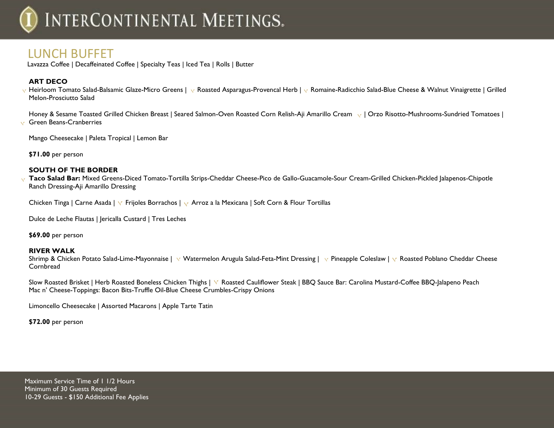### LUNCH BUFFET

Lavazza Coffee | Decaffeinated Coffee | Specialty Teas | Iced Tea | Rolls | Butter

### **ART DECO**

 $\vee$  Heirloom Tomato Salad-Balsamic Glaze-Micro Greens |  $\vee$  Roasted Asparagus-Provencal Herb |  $\vee$  Romaine-Radicchio Salad-Blue Cheese & Walnut Vinaigrette | Grilled Melon-Prosciutto Salad

Honey & Sesame Toasted Grilled Chicken Breast | Seared Salmon-Oven Roasted Corn Relish-Aii Amarillo Cream v | Orzo Risotto-Mushrooms-Sundried Tomatoes | Green Beans-Cranberries

Mango Cheesecake | Paleta Tropical | Lemon Bar

**\$71.00** per person

### **SOUTH OF THE BORDER**

**Taco Salad Bar:** Mixed Greens-Diced Tomato-Tortilla Strips-Cheddar Cheese-Pico de Gallo-Guacamole-Sour Cream-Grilled Chicken-Pickled Jalapenos-Chipotle Ranch Dressing-Aji Amarillo Dressing

Chicken Tinga | Carne Asada | Y Frijoles Borrachos | Y Arroz a la Mexicana | Soft Corn & Flour Tortillas

Dulce de Leche Flautas | Jericalla Custard | Tres Leches

**\$69.00** per person

### **RIVER WALK**

Shrimp & Chicken Potato Salad-Lime-Mayonnaise | v Watermelon Arugula Salad-Feta-Mint Dressing | v Pineapple Coleslaw | v Roasted Poblano Cheddar Cheese **Cornbread** 

Slow Roasted Brisket | Herb Roasted Boneless Chicken Thighs | Y Roasted Cauliflower Steak | BBQ Sauce Bar: Carolina Mustard-Coffee BBQ-Jalapeno Peach Mac n' Cheese-Toppings: Bacon Bits-Truffle Oil-Blue Cheese Crumbles-Crispy Onions

Limoncello Cheesecake | Assorted Macarons | Apple Tarte Tatin

**\$72.00** per person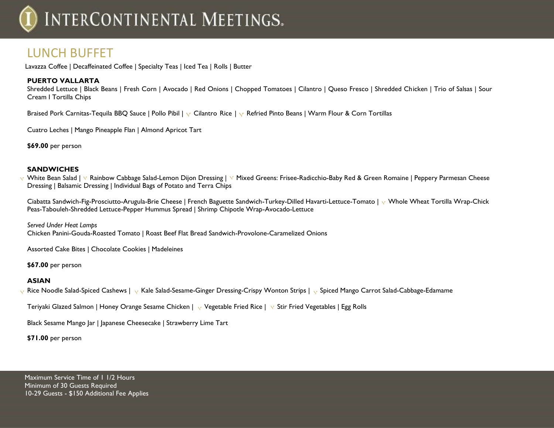### LUNCH BUFFET

Lavazza Coffee | Decaffeinated Coffee | Specialty Teas | Iced Tea | Rolls | Butter

### **PUERTO VALLARTA**

Shredded Lettuce | Black Beans | Fresh Corn | Avocado | Red Onions | Chopped Tomatoes | Cilantro | Queso Fresco | Shredded Chicken | Trio of Salsas | Sour Cream I Tortilla Chips

Braised Pork Carnitas-Tequila BBQ Sauce | Pollo Pibil |  $\vee$  Cilantro Rice |  $\vee$  Refried Pinto Beans | Warm Flour & Corn Tortillas

Cuatro Leches | Mango Pineapple Flan | Almond Apricot Tart

**\$69.00** per person

### **SANDWICHES**

v White Bean Salad | Y Rainbow Cabbage Salad-Lemon Dijon Dressing | Y Mixed Greens: Frisee-Radicchio-Baby Red & Green Romaine | Peppery Parmesan Cheese Dressing | Balsamic Dressing | Individual Bags of Potato and Terra Chips

Ciabatta Sandwich-Fig-Prosciutto-Arugula-Brie Cheese | French Baguette Sandwich-Turkey-Dilled Havarti-Lettuce-Tomato | w Whole Wheat Tortilla Wrap-Chick Peas-Tabouleh-Shredded Lettuce-Pepper Hummus Spread | Shrimp Chipotle Wrap-Avocado-Lettuce

*Served Under Heat Lamps* Chicken Panini-Gouda-Roasted Tomato | Roast Beef Flat Bread Sandwich-Provolone-Caramelized Onions

Assorted Cake Bites | Chocolate Cookies | Madeleines

**\$67.00** per person

### **ASIAN**

Rice Noodle Salad-Spiced Cashews | <sub>V</sub> Kale Salad-Sesame-Ginger Dressing-Crispy Wonton Strips | <sub>V</sub> Spiced Mango Carrot Salad-Cabbage-Edamame

Teriyaki Glazed Salmon | Honey Orange Sesame Chicken |  $\vee$  Vegetable Fried Rice |  $\vee$  Stir Fried Vegetables | Egg Rolls

Black Sesame Mango Jar | Japanese Cheesecake | Strawberry Lime Tart

**\$71.00** per person

Maximum Service Time of 11/2 Hours Minimum of 30 Guests Required 10-29 Guests - \$150 Additional Fee Applies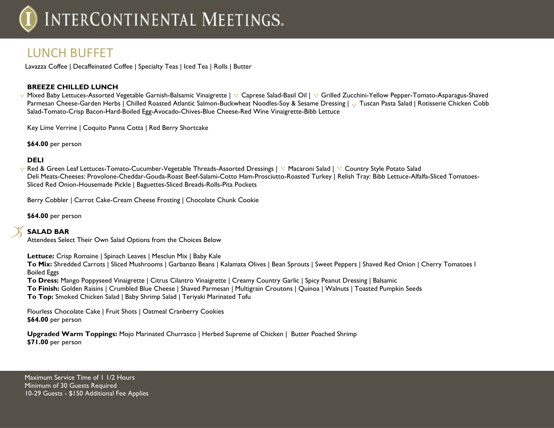### LUNCH BUFFET

Lavazza Coffee | Decaffeinated Coffee | Specialty Teas | Iced Tea | Rolls | Butter

### **BREEZE CHILLED LUNCH**

V Mixed Baby Lettuces-Assorted Vegetable Garnish-Balsamic Vinaigrette | V Caprese Salad-Basil Oil | V Grilled Zucchini-Yellow Pepper-Tomato-Asparagus-Shaved Parmesan Cheese-Garden Herbs | Chilled Roasted Atlantic Salmon-Buckwheat Noodles-Soy & Sesame Dressing |  $\sqrt{ }$  Tuscan Pasta Salad | Rotisserie Chicken Cobb Salad-Tomato-Crisp Bacon-Hard-Boiled Egg-Avocado-Chives-Blue Cheese-Red Wine Vinaigrette-Bibb Lettuce

Key Lime Verrine | Coquito Panna Cotta | Red Berry Shortcake

**\$64.00** per person

### **DELI**

v Red & Green Leaf Lettuces-Tomato-Cucumber-Vegetable Threads-Assorted Dressings | V Macaroni Salad | V Country Style Potato Salad Deli Meats-Cheeses: Provolone-Cheddar-Gouda-Roast Beef-Salami-Cotto Ham-Prosciutto-Roasted Turkey | Relish Tray: Bibb Lettuce-Alfalfa-Sliced Tomatoes-Sliced Red Onion-Housemade Pickle | Baguettes-Sliced Breads-Rolls-Pita Pockets

Berry Cobbler | Carrot Cake-Cream Cheese Frosting | Chocolate Chunk Cookie

**\$64.00** per person

**SALAD BAR** Attendees Select Their Own Salad Options from the Choices Below

**Lettuce:** Crisp Romaine | Spinach Leaves | Mesclun Mix | Baby Kale

**To Mix:** Shredded Carrots | Sliced Mushrooms | Garbanzo Beans | Kalamata Olives | Bean Sprouts | Sweet Peppers | Shaved Red Onion | Cherry Tomatoes I Boiled Eggs

**To Dress:** Mango Poppyseed Vinaigrette | Citrus Cilantro Vinaigrette | Creamy Country Garlic | Spicy Peanut Dressing | Balsamic

**To Finish:** Golden Raisins | Crumbled Blue Cheese | Shaved Parmesan | Multigrain Croutons | Quinoa | Walnuts | Toasted Pumpkin Seeds

**To Top:** Smoked Chicken Salad | Baby Shrimp Salad | Teriyaki Marinated Tofu

Flourless Chocolate Cake | Fruit Shots | Oatmeal Cranberry Cookies **\$64.00** per person

**Upgraded Warm Toppings:** Mojo Marinated Churrasco | Herbed Supreme of Chicken | Butter Poached Shrimp **\$71.00** per person

Maximum Service Time of 11/2 Hours Minimum of 30 Guests Required 10-29 Guests - \$150 Additional Fee Applies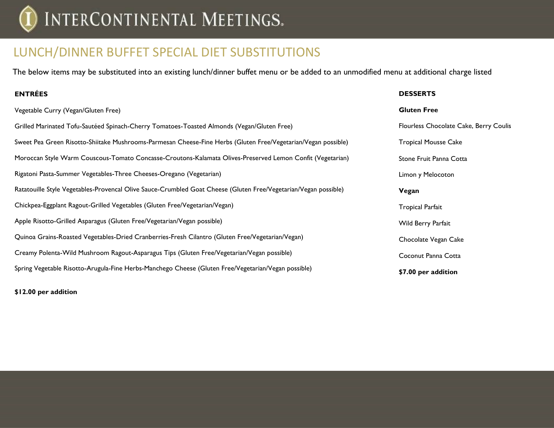## LUNCH/DINNER BUFFET SPECIAL DIET SUBSTITUTIONS

The below items may be substituted into an existing lunch/dinner buffet menu or be added to an unmodified menu at additional charge listed

### **ENTRÉES**

#### **DESSERTS**

| Vegetable Curry (Vegan/Gluten Free)                                                                             | <b>Gluten Free</b>                     |
|-----------------------------------------------------------------------------------------------------------------|----------------------------------------|
| Grilled Marinated Tofu-Sautéed Spinach-Cherry Tomatoes-Toasted Almonds (Vegan/Gluten Free)                      | Flourless Chocolate Cake, Berry Coulis |
| Sweet Pea Green Risotto-Shiitake Mushrooms-Parmesan Cheese-Fine Herbs (Gluten Free/Vegetarian/Vegan possible)   | <b>Tropical Mousse Cake</b>            |
| Moroccan Style Warm Couscous-Tomato Concasse-Croutons-Kalamata Olives-Preserved Lemon Confit (Vegetarian)       | Stone Fruit Panna Cotta                |
| Rigatoni Pasta-Summer Vegetables-Three Cheeses-Oregano (Vegetarian)                                             | Limon y Melocoton                      |
| Ratatouille Style Vegetables-Provencal Olive Sauce-Crumbled Goat Cheese (Gluten Free/Vegetarian/Vegan possible) | Vegan                                  |
| Chickpea-Eggplant Ragout-Grilled Vegetables (Gluten Free/Vegetarian/Vegan)                                      | <b>Tropical Parfait</b>                |
| Apple Risotto-Grilled Asparagus (Gluten Free/Vegetarian/Vegan possible)                                         | Wild Berry Parfait                     |
| Quinoa Grains-Roasted Vegetables-Dried Cranberries-Fresh Cilantro (Gluten Free/Vegetarian/Vegan)                | Chocolate Vegan Cake                   |
| Creamy Polenta-Wild Mushroom Ragout-Asparagus Tips (Gluten Free/Vegetarian/Vegan possible)                      | Coconut Panna Cotta                    |
| Spring Vegetable Risotto-Arugula-Fine Herbs-Manchego Cheese (Gluten Free/Vegetarian/Vegan possible)             | \$7.00 per addition                    |
|                                                                                                                 |                                        |

**\$12.00 per addition**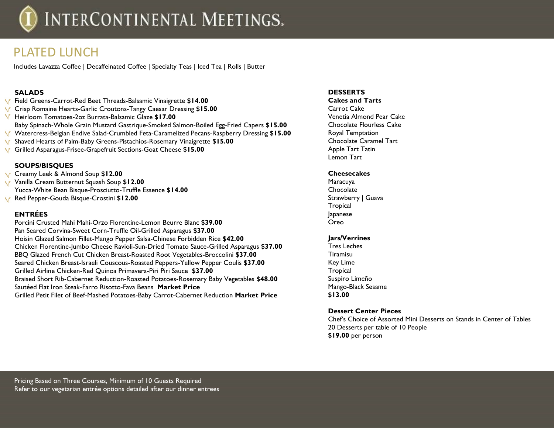### PLATED LUNCH

Includes Lavazza Coffee | Decaffeinated Coffee | Specialty Teas | Iced Tea | Rolls | Butter

### **SALADS**

- Field Greens-Carrot-Red Beet Threads-Balsamic Vinaigrette **\$14.00**
- Crisp Romaine Hearts-Garlic Croutons-Tangy Caesar Dressing **\$15.00**
- Heirloom Tomatoes-2oz Burrata-Balsamic Glaze **\$17.00** Baby Spinach-Whole Grain Mustard Gastrique-Smoked Salmon-Boiled Egg-Fried Capers **\$15.00** Watercress-Belgian Endive Salad-Crumbled Feta-Caramelized Pecans-Raspberry Dressing **\$15.00** Shaved Hearts of Palm-Baby Greens-Pistachios-Rosemary Vinaigrette **\$15.00** Grilled Asparagus-Frisee-Grapefruit Sections-Goat Cheese **\$15.00**

### **SOUPS/BISQUES**

Creamy Leek & Almond Soup **\$12.00** Vanilla Cream Butternut Squash Soup **\$12.00** Yucca-White Bean Bisque-Prosciutto-Truffle Essence **\$14.00** Red Pepper-Gouda Bisque-Crostini **\$12.00**

### **ENTRÉES**

Porcini Crusted Mahi Mahi-Orzo Florentine-Lemon Beurre Blanc **\$39.00** Pan Seared Corvina-Sweet Corn-Truffle Oil-Grilled Asparagus **\$37.00** Hoisin Glazed Salmon Fillet-Mango Pepper Salsa-Chinese Forbidden Rice **\$42.00** Chicken Florentine-Jumbo Cheese Ravioli-Sun-Dried Tomato Sauce-Grilled Asparagus **\$37.00** BBQ Glazed French Cut Chicken Breast-Roasted Root Vegetables-Broccolini **\$37.00** Seared Chicken Breast-Israeli Couscous-Roasted Peppers-Yellow Pepper Coulis **\$37.00** Grilled Airline Chicken-Red Quinoa Primavera-Piri Piri Sauce **\$37.00** Braised Short Rib-Cabernet Reduction-Roasted Potatoes-Rosemary Baby Vegetables **\$48.00** Sautéed Flat Iron Steak-Farro Risotto-Fava Beans **Market Price**  Grilled Petit Filet of Beef-Mashed Potatoes-Baby Carrot-Cabernet Reduction **Market Price** 

### **DESSERTS**

**Cakes and Tarts** Carrot Cake Venetia Almond Pear Cake Chocolate Flourless Cake Royal Temptation Chocolate Caramel Tart Apple Tart Tatin Lemon Tart

### **Cheesecakes**

Maracuya **Chocolate** Strawberry | Guava **Tropical** Japanese Oreo

### **Jars/Verrines**

Tres Leches Tiramisu Key Lime Tropical Suspiro Limeño Mango-Black Sesame **\$13.00**

### **Dessert Center Pieces**

Chef's Choice of Assorted Mini Desserts on Stands in Center of Tables 20 Desserts per table of 10 People **\$19.00** per person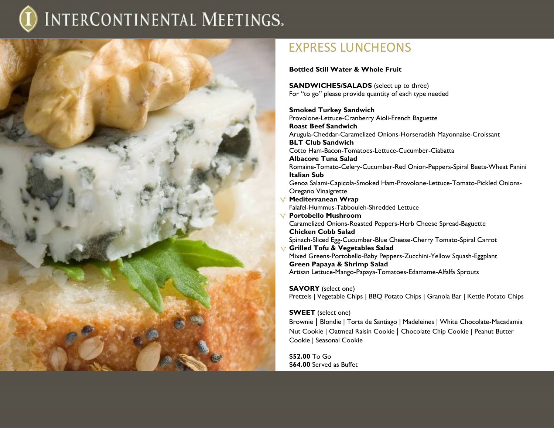

### EXPRESS LUNCHEONS

**Bottled Still Water & Whole Fruit**

**SANDWICHES/SALADS** (select up to three) For "to go" please provide quantity of each type needed

**Smoked Turkey Sandwich** Provolone-Lettuce-Cranberry Aioli-French Baguette **Roast Beef Sandwich**  Arugula-Cheddar-Caramelized Onions-Horseradish Mayonnaise-Croissant **BLT Club Sandwich** Cotto Ham-Bacon-Tomatoes-Lettuce-Cucumber-Ciabatta **Albacore Tuna Salad** Romaine-Tomato-Celery-Cucumber-Red Onion-Peppers-Spiral Beets-Wheat Panini **Italian Sub** Genoa Salami-Capicola-Smoked Ham-Provolone-Lettuce-Tomato-Pickled Onions-Oregano Vinaigrette **Mediterranean Wrap** Falafel-Hummus-Tabbouleh-Shredded Lettuce **Portobello Mushroom** Caramelized Onions-Roasted Peppers-Herb Cheese Spread-Baguette **Chicken Cobb Salad** Spinach-Sliced Egg-Cucumber-Blue Cheese-Cherry Tomato-Spiral Carrot **Grilled Tofu & Vegetables Salad** Mixed Greens-Portobello-Baby Peppers-Zucchini-Yellow Squash-Eggplant **Green Papaya & Shrimp Salad** Artisan Lettuce-Mango-Papaya-Tomatoes-Edamame-Alfalfa Sprouts

**SAVORY** (select one)

Pretzels | Vegetable Chips | BBQ Potato Chips | Granola Bar | Kettle Potato Chips

### **SWEET** (select one)

Brownie | Blondie | Torta de Santiago | Madeleines | White Chocolate-Macadamia Nut Cookie | Oatmeal Raisin Cookie | Chocolate Chip Cookie | Peanut Butter Cookie | Seasonal Cookie

**\$52.00** To Go **\$64.00** Served as Buffet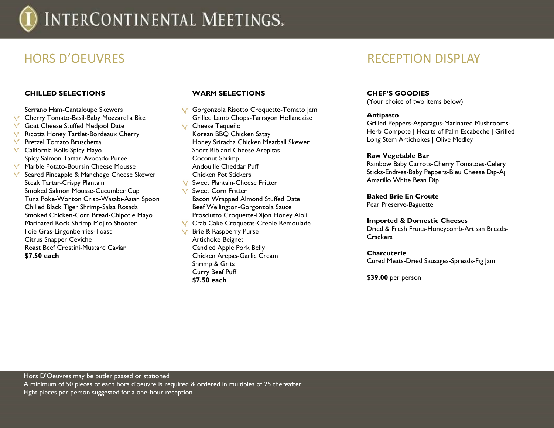### **CHILLED SELECTIONS**

Serrano Ham-Cantaloupe Skewers **V** Cherry Tomato-Basil-Baby Mozzarella Bite **V** Goat Cheese Stuffed Medjool Date **K** Ricotta Honey Tartlet-Bordeaux Cherry Pretzel Tomato Bruschetta  $\sqrt{ }$ **V** California Rolls-Spicy Mayo Spicy Salmon Tartar-Avocado Puree Marble Potato-Boursin Cheese Mousse  $\sqrt{ }$ Seared Pineapple & Manchego Cheese Skewer Steak Tartar-Crispy Plantain Smoked Salmon Mousse-Cucumber Cup Tuna Poke-Wonton Crisp-Wasabi-Asian Spoon Chilled Black Tiger Shrimp-Salsa Rosada Smoked Chicken-Corn Bread-Chipotle Mayo Marinated Rock Shrimp Mojito Shooter Foie Gras-Lingonberries-Toast Citrus Snapper Ceviche Roast Beef Crostini-Mustard Caviar **\$7.50 each**

### **WARM SELECTIONS**

Curry Beef Puff **\$7.50 each**

**V** Gorgonzola Risotto Croquette-Tomato Jam Grilled Lamb Chops-Tarragon Hollandaise Cheese Tequeño Korean BBQ Chicken Satay Honey Sriracha Chicken Meatball Skewer Short Rib and Cheese Arepitas Coconut Shrimp Andouille Cheddar Puff Chicken Pot Stickers **Sweet Plantain-Cheese Fritter V** Sweet Corn Fritter Bacon Wrapped Almond Stuffed Date Beef Wellington-Gorgonzola Sauce Prosciutto Croquette-Dijon Honey Aioli **V** Crab Cake Croquetas-Creole Remoulade **Y** Brie & Raspberry Purse Artichoke Beignet Candied Apple Pork Belly Chicken Arepas-Garlic Cream Shrimp & Grits

### HORS D'OEUVRES RECEPTION DISPLAY

#### **CHEF'S GOODIES**

(Your choice of two items below)

#### **Antipasto**

Grilled Peppers-Asparagus-Marinated Mushrooms-Herb Compote | Hearts of Palm Escabeche | Grilled Long Stem Artichokes | Olive Medley

#### **Raw Vegetable Bar**

Rainbow Baby Carrots-Cherry Tomatoes-Celery Sticks-Endives-Baby Peppers-Bleu Cheese Dip-Aji Amarillo White Bean Dip

### **Baked Brie En Croute**

Pear Preserve-Baguette

#### **Imported & Domestic Cheeses**

Dried & Fresh Fruits-Honeycomb-Artisan Breads-Crackers

#### **Charcuterie**

Cured Meats-Dried Sausages-Spreads-Fig Jam

**\$39.00** per person

Hors D'Oeuvres may be butler passed or stationed A minimum of 50 pieces of each hors d'oeuvre is required & ordered in multiples of 25 thereafter Eight pieces per person suggested for a one-hour reception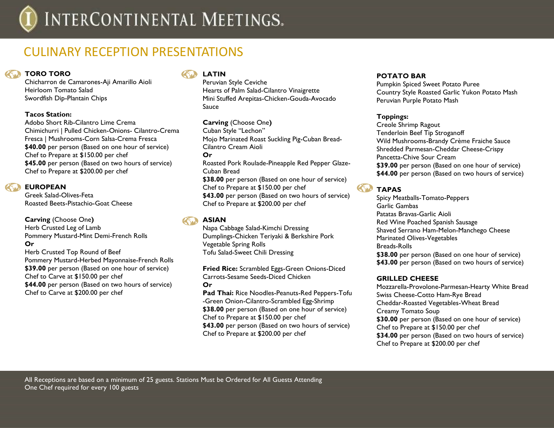## CULINARY RECEPTION PRESENTATIONS

### *COMPTORO*

Chicharron de Camarones-Aji Amarillo Aioli Heirloom Tomato Salad Swordfish Dip-Plantain Chips

### **Tacos Station:**

Adobo Short Rib-Cilantro Lime Crema Chimichurri | Pulled Chicken-Onions- Cilantro-Crema Fresca | Mushrooms-Corn Salsa-Crema Fresca **\$40.00** per person (Based on one hour of service) Chef to Prepare at \$150.00 per chef **\$45.00** per person (Based on two hours of service) Chef to Prepare at \$200.00 per chef

### **EUROPEAN**

Greek Salad-Olives-Feta Roasted Beets-Pistachio-Goat Cheese

**Carving** (Choose One**)**  Herb Crusted Leg of Lamb Pommery Mustard-Mint Demi-French Rolls **Or**

Herb Crusted Top Round of Beef Pommery Mustard-Herbed Mayonnaise-French Rolls **\$39.00** per person (Based on one hour of service) Chef to Carve at \$150.00 per chef **\$44.00** per person (Based on two hours of service) Chef to Carve at \$200.00 per chef

### **LATIN**

Peruvian Style Ceviche Hearts of Palm Salad-Cilantro Vinaigrette Mini Stuffed Arepitas-Chicken-Gouda-Avocado Sauce

**Carving** (Choose One**)**  Cuban Style "Lechon" Mojo Marinated Roast Suckling Pig-Cuban Bread-Cilantro Cream Aioli **Or** Roasted Pork Roulade-Pineapple Red Pepper Glaze-Cuban Bread **\$38.00** per person (Based on one hour of service) Chef to Prepare at \$150.00 per chef **\$43.00** per person (Based on two hours of service) Chef to Prepare at \$200.00 per chef

### **ASIAN**

Napa Cabbage Salad-Kimchi Dressing Dumplings-Chicken Teriyaki & Berkshire Pork Vegetable Spring Rolls Tofu Salad-Sweet Chili Dressing

**Fried Rice:** Scrambled Eggs-Green Onions-Diced Carrots-Sesame Seeds-Diced Chicken **Or**

**Pad Thai:** Rice Noodles-Peanuts-Red Peppers-Tofu -Green Onion-Cilantro-Scrambled Egg-Shrimp **\$38.00** per person (Based on one hour of service) Chef to Prepare at \$150.00 per chef **\$43.00** per person (Based on two hours of service) Chef to Prepare at \$200.00 per chef

### **POTATO BAR**

Pumpkin Spiced Sweet Potato Puree Country Style Roasted Garlic Yukon Potato Mash Peruvian Purple Potato Mash

### **Toppings:**

Creole Shrimp Ragout Tenderloin Beef Tip Stroganoff Wild Mushrooms-Brandy Crème Fraiche Sauce Shredded Parmesan-Cheddar Cheese-Crispy Pancetta-Chive Sour Cream **\$39.00** per person (Based on one hour of service) **\$44.00** per person (Based on two hours of service)

### **TAPAS**

Spicy Meatballs-Tomato-Peppers Garlic Gambas Patatas Bravas-Garlic Aioli Red Wine Poached Spanish Sausage Shaved Serrano Ham-Melon-Manchego Cheese Marinated Olives-Vegetables Breads-Rolls **\$38.00** per person (Based on one hour of service) **\$43.00** per person (Based on two hours of service)

### **GRILLED CHEESE**

Mozzarella-Provolone-Parmesan-Hearty White Bread Swiss Cheese-Cotto Ham-Rye Bread Cheddar-Roasted Vegetables-Wheat Bread Creamy Tomato Soup **\$30.00** per person (Based on one hour of service) Chef to Prepare at \$150.00 per chef **\$34.00** per person (Based on two hours of service) Chef to Prepare at \$200.00 per chef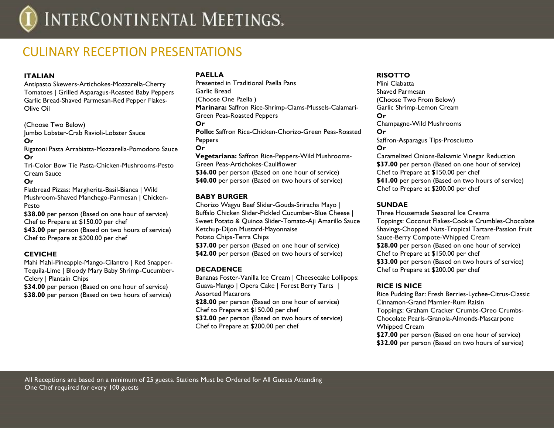### CUI INARY RECEPTION PRESENTATIONS

### **ITALIAN**

Antipasto Skewers-Artichokes-Mozzarella-Cherry Tomatoes | Grilled Asparagus-Roasted Baby Peppers Garlic Bread-Shaved Parmesan-Red Pepper Flakes-Olive Oil

(Choose Two Below) Jumbo Lobster-Crab Ravioli-Lobster Sauce **Or** 

Rigatoni Pasta Arrabiatta-Mozzarella-Pomodoro Sauce **Or** 

Tri-Color Bow Tie Pasta-Chicken-Mushrooms-Pesto Cream Sauce

### **Or**

Flatbread Pizzas: Margherita-Basil-Bianca | Wild Mushroom-Shaved Manchego-Parmesan | Chicken-Pesto

**\$38.00** per person (Based on one hour of service) Chef to Prepare at \$150.00 per chef **\$43.00** per person (Based on two hours of service)

Chef to Prepare at \$200.00 per chef

### **CEVICHE**

Mahi Mahi-Pineapple-Mango-Cilantro | Red Snapper-Tequila-Lime | Bloody Mary Baby Shrimp-Cucumber-Celery | Plantain Chips

**\$34.00** per person (Based on one hour of service) **\$38.00** per person (Based on two hours of service)

### **PAELLA**

Presented in Traditional Paella Pans Garlic Bread (Choose One Paella ) **Marinara:** Saffron Rice-Shrimp-Clams-Mussels-Calamari-Green Peas-Roasted Peppers **Or**

**Pollo:** Saffron Rice-Chicken-Chorizo-Green Peas-Roasted **Peppers** 

**Or**

**Vegetariana:** Saffron Rice-Peppers-Wild Mushrooms-Green Peas-Artichokes-Cauliflower **\$36.00** per person (Based on one hour of service) **\$40.00** per person (Based on two hours of service)

### **BABY BURGER**

Chorizo Wagyu Beef Slider-Gouda-Sriracha Mayo | Buffalo Chicken Slider-Pickled Cucumber-Blue Cheese | Sweet Potato & Quinoa Slider-Tomato-Aji Amarillo Sauce Ketchup-Dijon Mustard-Mayonnaise Potato Chips-Terra Chips **\$37.00** per person (Based on one hour of service) **\$42.00** per person (Based on two hours of service)

### **DECADENCE**

Bananas Foster-Vanilla Ice Cream | Cheesecake Lollipops: Guava-Mango | Opera Cake | Forest Berry Tarts | Assorted Macarons **\$28.00** per person (Based on one hour of service) Chef to Prepare at \$150.00 per chef

**\$32.00** per person (Based on two hours of service) Chef to Prepare at \$200.00 per chef

### **RISOTTO**

Mini Ciabatta Shaved Parmesan (Choose Two From Below) Garlic Shrimp-Lemon Cream **Or**  Champagne-Wild Mushrooms **Or**  Saffron-Asparagus Tips-Prosciutto **Or**  Caramelized Onions-Balsamic Vinegar Reduction **\$37.00** per person (Based on one hour of service) Chef to Prepare at \$150.00 per chef **\$41.00** per person (Based on two hours of service) Chef to Prepare at \$200.00 per chef

### **SUNDAE**

Three Housemade Seasonal Ice Creams Toppings: Coconut Flakes-Cookie Crumbles-Chocolate Shavings-Chopped Nuts-Tropical Tartare-Passion Fruit Sauce-Berry Compote-Whipped Cream **\$28.00** per person (Based on one hour of service) Chef to Prepare at \$150.00 per chef **\$33.00** per person (Based on two hours of service) Chef to Prepare at \$200.00 per chef

### **RICE IS NICE**

Rice Pudding Bar: Fresh Berries-Lychee-Citrus-Classic Cinnamon-Grand Marnier-Rum Raisin Toppings: Graham Cracker Crumbs-Oreo Crumbs-Chocolate Pearls-Granola-Almonds-Mascarpone Whipped Cream

**\$27.00** per person (Based on one hour of service) **\$32.00** per person (Based on two hours of service)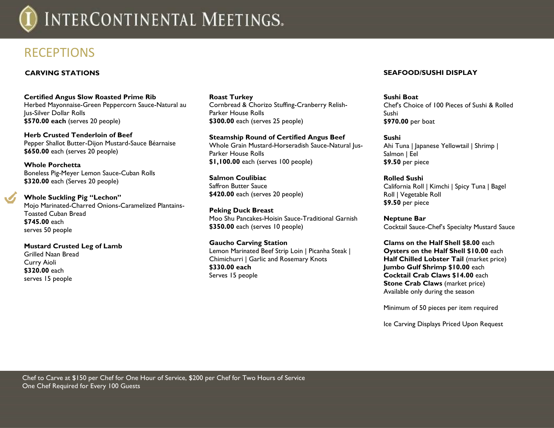

### RECEPTIONS

### **CARVING STATIONS**

**Certified Angus Slow Roasted Prime Rib**

Herbed Mayonnaise-Green Peppercorn Sauce-Natural au Jus-Silver Dollar Rolls **\$570.00 each** (serves 20 people)

**Herb Crusted Tenderloin of Beef**  Pepper Shallot Butter-Dijon Mustard-Sauce Béarnaise **\$650.00** each (serves 20 people)

**Whole Porchetta**  Boneless Pig-Meyer Lemon Sauce-Cuban Rolls **\$320.00** each (Serves 20 people)

**Whole Suckling Pig "Lechon"** Mojo Marinated-Charred Onions-Caramelized Plantains-Toasted Cuban Bread **\$745.00** each serves 50 people

**Mustard Crusted Leg of Lamb** Grilled Naan Bread Curry Aioli **\$320.00** each serves 15 people

**Roast Turkey** Cornbread & Chorizo Stuffing-Cranberry Relish-Parker House Rolls **\$300.00** each (serves 25 people)

**Steamship Round of Certified Angus Beef**  Whole Grain Mustard-Horseradish Sauce-Natural Jus-Parker House Rolls **\$1,100.00** each (serves 100 people)

**Salmon Coulibiac** Saffron Butter Sauce **\$420.00** each (serves 20 people)

**Peking Duck Breast** Moo Shu Pancakes-Hoisin Sauce-Traditional Garnish **\$350.00** each (serves 10 people)

**Gaucho Carving Station**  Lemon Marinated Beef Strip Loin | Picanha Steak | Chimichurri | Garlic and Rosemary Knots **\$330.00 each** Serves 15 people

### **SEAFOOD/SUSHI DISPLAY**

**Sushi Boat** Chef's Choice of 100 Pieces of Sushi & Rolled Sushi **\$970.00** per boat

**Sushi** Ahi Tuna | Japanese Yellowtail | Shrimp | Salmon | Eel **\$9.50** per piece

**Rolled Sushi** California Roll | Kimchi | Spicy Tuna | Bagel Roll | Vegetable Roll **\$9.50** per piece

**Neptune Bar** Cocktail Sauce-Chef's Specialty Mustard Sauce

**Clams on the Half Shell \$8.00** each **Oysters on the Half Shell \$10.00** each **Half Chilled Lobster Tail (market price) Jumbo Gulf Shrimp \$10.00** each **Cocktail Crab Claws \$14.00** each **Stone Crab Claws** (market price) Available only during the season

Minimum of 50 pieces per item required

Ice Carving Displays Priced Upon Request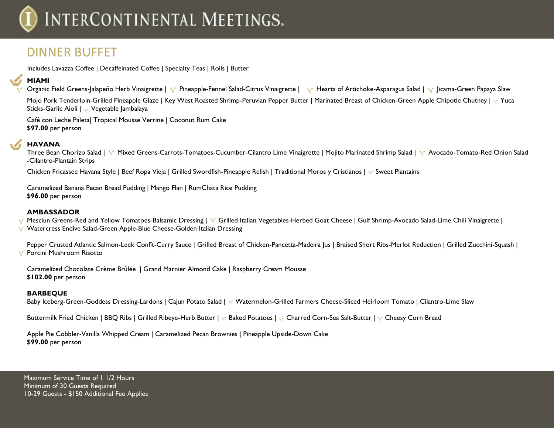## DINNER BUFFET

Includes Lavazza Coffee | Decaffeinated Coffee | Specialty Teas | Rolls | Butter

### **MIAMI**

Organic Field Greens-Jalapeño Herb Vinaigrette | V Pineapple-Fennel Salad-Citrus Vinaigrette | V Hearts of Artichoke-Asparagus Salad | V Jicama-Green Papaya Slaw

Mojo Pork Tenderloin-Grilled Pineapple Glaze | Key West Roasted Shrimp-Peruvian Pepper Butter | Marinated Breast of Chicken-Green Apple Chipotle Chutney |  $\sqrt{Y}$  Yuca Sticks-Garlic Aioli | v Vegetable Jambalaya

Café con Leche Paleta| Tropical Mousse Verrine | Coconut Rum Cake **\$97.00** per person

### **HAVANA**

Three Bean Chorizo Salad | V Mixed Greens-Carrots-Tomatoes-Cucumber-Cilantro Lime Vinaigrette | Mojito Marinated Shrimp Salad | V Avocado-Tomato-Red Onion Salad -Cilantro-Plantain Strips

Chicken Fricassee Havana Style | Beef Ropa Vieja | Grilled Swordfish-Pineapple Relish | Traditional Moros y Cristianos |  $\vee$  Sweet Plantains

Caramelized Banana Pecan Bread Pudding | Mango Flan | RumChata Rice Pudding **\$96.00** per person

### **AMBASSADOR**

Mesclun Greens-Red and Yellow Tomatoes-Balsamic Dressing | V Grilled Italian Vegetables-Herbed Goat Cheese | Gulf Shrimp-Avocado Salad-Lime Chili Vinaigrette | Watercress Endive Salad-Green Apple-Blue Cheese-Golden Italian Dressing

Pepper Crusted Atlantic Salmon-Leek Confît-Curry Sauce | Grilled Breast of Chicken-Pancetta-Madeira Jus | Braised Short Ribs-Merlot Reduction | Grilled Zucchini-Squash | **Y** Porcini Mushroom Risotto

Caramelized Chocolate Crème Brûlée | Grand Marnier Almond Cake | Raspberry Cream Mousse **\$102.00** per person

### **BARBEQUE**

Baby Iceberg-Green-Goddess Dressing-Lardons | Cajun Potato Salad | v Watermelon-Grilled Farmers Cheese-Sliced Heirloom Tomato | Cilantro-Lime Slaw

Buttermilk Fried Chicken | BBQ Ribs | Grilled Ribeye-Herb Butter |  $\sqrt{B}$  Baked Potatoes |  $\sqrt{C}$  Charred Corn-Sea Salt-Butter |  $\sqrt{C}$  Cheesy Corn Bread

Apple Pie Cobbler-Vanilla Whipped Cream | Caramelized Pecan Brownies | Pineapple Upside-Down Cake **\$99.00** per person

Maximum Service Time of 11/2 Hours Minimum of 30 Guests Required 10-29 Guests - \$150 Additional Fee Applies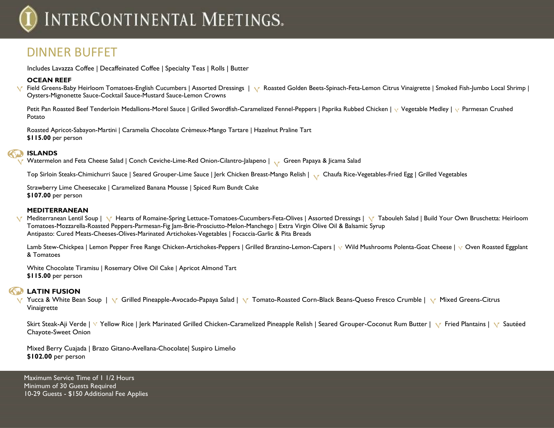## DINNER BUFFET

Includes Lavazza Coffee | Decaffeinated Coffee | Specialty Teas | Rolls | Butter

### **OCEAN REEF**

 $\sqrt{ }$ Field Greens-Baby Heirloom Tomatoes-English Cucumbers | Assorted Dressings | R Roasted Golden Beets-Spinach-Feta-Lemon Citrus Vinaigrette | Smoked Fish-Jumbo Local Shrimp | Oysters-Mignonette Sauce-Cocktail Sauce-Mustard Sauce-Lemon Crowns

Petit Pan Roasted Beef Tenderloin Medallions-Morel Sauce | Grilled Swordfish-Caramelized Fennel-Peppers | Paprika Rubbed Chicken | v Vegetable Medley | v Parmesan Crushed Potato

Roasted Apricot-Sabayon-Martini | Caramelia Chocolate Crèmeux-Mango Tartare | Hazelnut Praline Tart **\$115.00** per person

### **ISLANDS**

Watermelon and Feta Cheese Salad | Conch Ceviche-Lime-Red Onion-Cilantro-Jalapeno | Green Papaya & Jicama Salad

Top Sirloin Steaks-Chimichurri Sauce | Seared Grouper-Lime Sauce | Jerk Chicken Breast-Mango Relish | Chaufa Rice-Vegetables-Fried Egg | Grilled Vegetables

Strawberry Lime Cheesecake | Caramelized Banana Mousse | Spiced Rum Bundt Cake **\$107.00** per person

#### **MEDITERRANEAN**

Mediterranean Lentil Soup | V Hearts of Romaine-Spring Lettuce-Tomatoes-Cucumbers-Feta-Olives | Assorted Dressings | V Tabouleh Salad | Build Your Own Bruschetta: Heirloom  $\sqrt{ }$ Tomatoes-Mozzarella-Roasted Peppers-Parmesan-Fig Jam-Brie-Prosciutto-Melon-Manchego | Extra Virgin Olive Oil & Balsamic Syrup Antipasto: Cured Meats-Cheeses-Olives-Marinated Artichokes-Vegetables | Focaccia-Garlic & Pita Breads

Lamb Stew-Chickpea | Lemon Pepper Free Range Chicken-Artichokes-Peppers | Grilled Branzino-Lemon-Capers | v Wild Mushrooms Polenta-Goat Cheese | v Oven Roasted Eggplant & Tomatoes

White Chocolate Tiramisu | Rosemary Olive Oil Cake | Apricot Almond Tart **\$115.00** per person

### **LATIN FUSION**

V Yucca & White Bean Soup | V Grilled Pineapple-Avocado-Papaya Salad | V Tomato-Roasted Corn-Black Beans-Queso Fresco Crumble | V Mixed Greens-Citrus Vinaigrette

Skirt Steak-Aji Verde | Y Yellow Rice | Jerk Marinated Grilled Chicken-Caramelized Pineapple Relish | Seared Grouper-Coconut Rum Butter | Y Fried Plantains | Y Sautéed Chayote-Sweet Onion

Mixed Berry Cuajada | Brazo Gitano-Avellana-Chocolate| Suspiro Limeño **\$102.00** per person

Maximum Service Time of 11/2 Hours Minimum of 30 Guests Required 10-29 Guests - \$150 Additional Fee Applies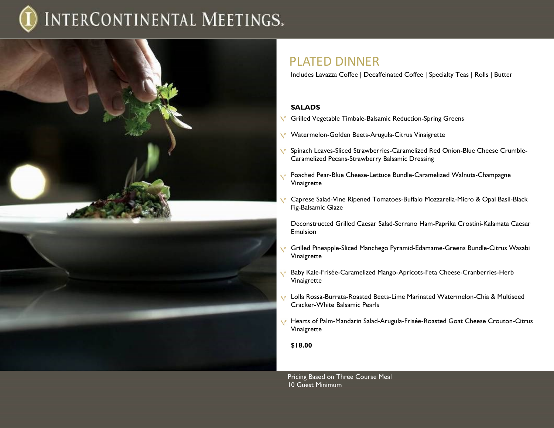

### PLATED DINNER

Includes Lavazza Coffee | Decaffeinated Coffee | Specialty Teas | Rolls | Butter

### **SALADS**

- Grilled Vegetable Timbale-Balsamic Reduction-Spring Greens
- Watermelon-Golden Beets-Arugula-Citrus Vinaigrette **V**
- Spinach Leaves-Sliced Strawberries-Caramelized Red Onion-Blue Cheese Crumble- $\sqrt{ }$ Caramelized Pecans-Strawberry Balsamic Dressing
- Poached Pear-Blue Cheese-Lettuce Bundle-Caramelized Walnuts-Champagne Vinaigrette
- Caprese Salad-Vine Ripened Tomatoes-Buffalo Mozzarella-Micro & Opal Basil-Black Fig-Balsamic Glaze

Deconstructed Grilled Caesar Salad-Serrano Ham-Paprika Crostini-Kalamata Caesar **Emulsion** 

- Grilled Pineapple-Sliced Manchego Pyramid-Edamame-Greens Bundle-Citrus Wasabi Vinaigrette
- Baby Kale-Frisée-Caramelized Mango-Apricots-Feta Cheese-Cranberries-Herb  $\sqrt{ }$ Vinaigrette
- Lolla Rossa-Burrata-Roasted Beets-Lime Marinated Watermelon-Chia & Multiseed Cracker-White Balsamic Pearls
- Hearts of Palm-Mandarin Salad-Arugula-Frisée-Roasted Goat Cheese Crouton-Citrus Vinaigrette

#### **\$18.00**

Pricing Based on Three Course Meal 10 Guest Minimum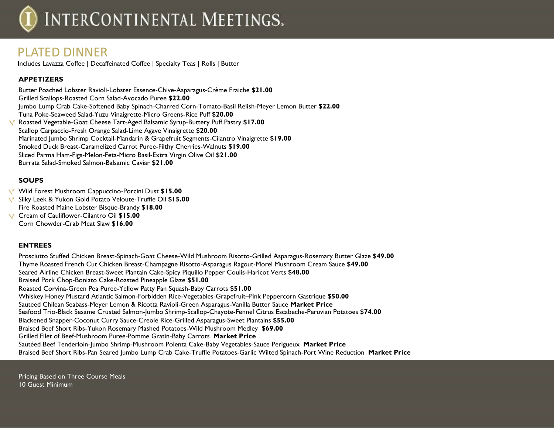### PLATED DINNER

Includes Lavazza Coffee | Decaffeinated Coffee | Specialty Teas | Rolls | Butter

### **APPETIZERS**

Butter Poached Lobster Ravioli-Lobster Essence-Chive-Asparagus-Crème Fraiche **\$21.00** Grilled Scallops-Roasted Corn Salad-Avocado Puree **\$22.00** Jumbo Lump Crab Cake-Softened Baby Spinach-Charred Corn-Tomato-Basil Relish-Meyer Lemon Butter **\$22.00** Tuna Poke-Seaweed Salad-Yuzu Vinaigrette-Micro Greens-Rice Puff **\$20.00** Roasted Vegetable-Goat Cheese Tart-Aged Balsamic Syrup-Buttery Puff Pastry **\$17.00** Scallop Carpaccio-Fresh Orange Salad-Lime Agave Vinaigrette **\$20.00** Marinated Jumbo Shrimp Cocktail-Mandarin & Grapefruit Segments-Cilantro Vinaigrette **\$19.00** Smoked Duck Breast-Caramelized Carrot Puree-Filthy Cherries-Walnuts **\$19.00** Sliced Parma Ham-Figs-Melon-Feta-Micro Basil-Extra Virgin Olive Oil **\$21.00** Burrata Salad-Smoked Salmon-Balsamic Caviar **\$21.00**

### **SOUPS**

- Wild Forest Mushroom Cappuccino-Porcini Dust **\$15.00**
- Silky Leek & Yukon Gold Potato Veloute-Truffle Oil **\$15.00**
- Fire Roasted Maine Lobster Bisque-Brandy **\$18.00**
- Cream of Cauliflower-Cilantro Oil **\$15.00**
	- Corn Chowder-Crab Meat Slaw **\$16.00**

### **ENTREES**

Prosciutto Stuffed Chicken Breast-Spinach-Goat Cheese-Wild Mushroom Risotto-Grilled Asparagus-Rosemary Butter Glaze **\$49.00** Thyme Roasted French Cut Chicken Breast-Champagne Risotto-Asparagus Ragout-Morel Mushroom Cream Sauce **\$49.00** Seared Airline Chicken Breast-Sweet Plantain Cake-Spicy Piquillo Pepper Coulis-Haricot Verts **\$48.00** Braised Pork Chop-Boniato Cake-Roasted Pineapple Glaze **\$51.00** Roasted Corvina-Green Pea Puree-Yellow Patty Pan Squash-Baby Carrots **\$51.00** Whiskey Honey Mustard Atlantic Salmon-Forbidden Rice-Vegetables-Grapefruit–Pink Peppercorn Gastrique **\$50.00** Sauteed Chilean Seabass-Meyer Lemon & Ricotta Ravioli-Green Asparagus-Vanilla Butter Sauce **Market Price**  Seafood Trio-Black Sesame Crusted Salmon-Jumbo Shrimp-Scallop-Chayote-Fennel Citrus Escabeche-Peruvian Potatoes **\$74.00** Blackened Snapper-Coconut Curry Sauce-Creole Rice-Grilled Asparagus-Sweet Plantains **\$55.00** Braised Beef Short Ribs-Yukon Rosemary Mashed Potatoes-Wild Mushroom Medley **\$69.00** Grilled Filet of Beef-Mushroom Puree-Pomme Gratin-Baby Carrots **Market Price**  Sautéed Beef Tenderloin-Jumbo Shrimp-Mushroom Polenta Cake-Baby Vegetables-Sauce Perigueux **Market Price**  Braised Beef Short Ribs-Pan Seared Jumbo Lump Crab Cake-Truffle Potatoes-Garlic Wilted Spinach-Port Wine Reduction **Market Price** 

Pricing Based on Three Course Meals 10 Guest Minimum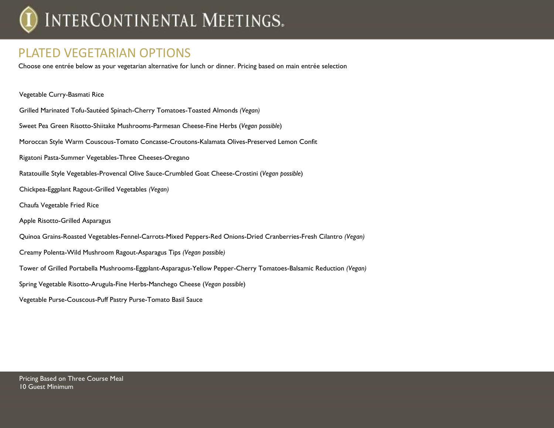### PLATED VEGETARIAN OPTIONS

Choose one entrée below as your vegetarian alternative for lunch or dinner. Pricing based on main entrée selection

| Vegetable Curry-Basmati Rice                                                                                      |
|-------------------------------------------------------------------------------------------------------------------|
| Grilled Marinated Tofu-Sautéed Spinach-Cherry Tomatoes-Toasted Almonds (Vegan)                                    |
| Sweet Pea Green Risotto-Shiitake Mushrooms-Parmesan Cheese-Fine Herbs (Vegan possible)                            |
| Moroccan Style Warm Couscous-Tomato Concasse-Croutons-Kalamata Olives-Preserved Lemon Confit                      |
| Rigatoni Pasta-Summer Vegetables-Three Cheeses-Oregano                                                            |
| Ratatouille Style Vegetables-Provencal Olive Sauce-Crumbled Goat Cheese-Crostini (Vegan possible)                 |
| Chickpea-Eggplant Ragout-Grilled Vegetables (Vegan)                                                               |
| Chaufa Vegetable Fried Rice                                                                                       |
| Apple Risotto-Grilled Asparagus                                                                                   |
| Quinoa Grains-Roasted Vegetables-Fennel-Carrots-Mixed Peppers-Red Onions-Dried Cranberries-Fresh Cilantro (Vegan) |
| Creamy Polenta-Wild Mushroom Ragout-Asparagus Tips (Vegan possible)                                               |
| Tower of Grilled Portabella Mushrooms-Eggplant-Asparagus-Yellow Pepper-Cherry Tomatoes-Balsamic Reduction (Vegan) |
| Spring Vegetable Risotto-Arugula-Fine Herbs-Manchego Cheese (Vegan possible)                                      |
| Vegetable Purse-Couscous-Puff Pastry Purse-Tomato Basil Sauce                                                     |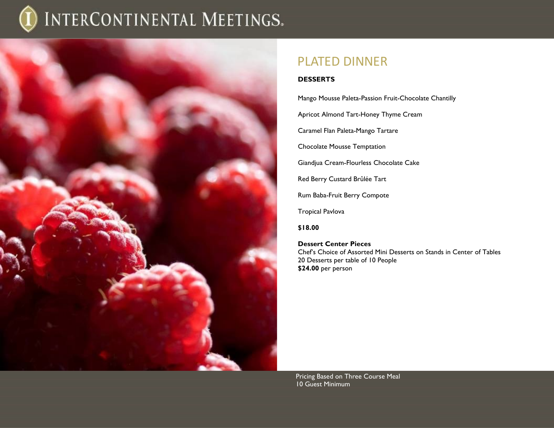

### PLATED DINNER

### **DESSERTS**

Mango Mousse Paleta-Passion Fruit-Chocolate Chantilly Apricot Almond Tart-Honey Thyme Cream Caramel Flan Paleta-Mango Tartare Chocolate Mousse Temptation Giandjua Cream-Flourless Chocolate Cake Red Berry Custard Brûlée Tart

Rum Baba-Fruit Berry Compote

Tropical Pavlova

**\$18.00**

#### **Dessert Center Pieces**  Chef's Choice of Assorted Mini Desserts on Stands in Center of Tables 20 Desserts per table of 10 People **\$24.00** per person

Pricing Based on Three Course Meal 10 Guest Minimum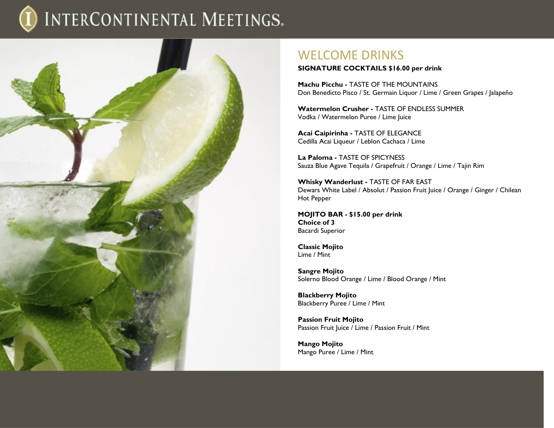

### WELCOME DRINKS

**SIGNATURE COCKTAILS \$16.00 per drink**

**Machu Picchu -** TASTE OF THE MOUNTAINS Don Benedicto Pisco / St. Germain Liquor / Lime / Green Grapes / Jalapeño

**Watermelon Crusher -** TASTE OF ENDLESS SUMMER Vodka / Watermelon Puree / Lime Juice

**Acai Caipirinha -** TASTE OF ELEGANCE Cedilla Acai Liqueur / Leblon Cachaca / Lime

**La Paloma -** TASTE OF SPICYNESS Sauza Blue Agave Tequila / Grapefruit / Orange / Lime / Tajin Rim

**Whisky Wanderlust -** TASTE OF FAR EAST Dewars White Label / Absolut / Passion Fruit Juice / Orange / Ginger / Chilean Hot Pepper

**MOJITO BAR - \$15.00 per drink Choice of 3** Bacardi Superior

**Classic Mojito**  Lime / Mint

**Sangre Mojito**  Solerno Blood Orange / Lime / Blood Orange / Mint

**Blackberry Mojito**  Blackberry Puree / Lime / Mint

**Passion Fruit Mojito**  Passion Fruit Juice / Lime / Passion Fruit / Mint

**Mango Mojito**  Mango Puree / Lime / Mint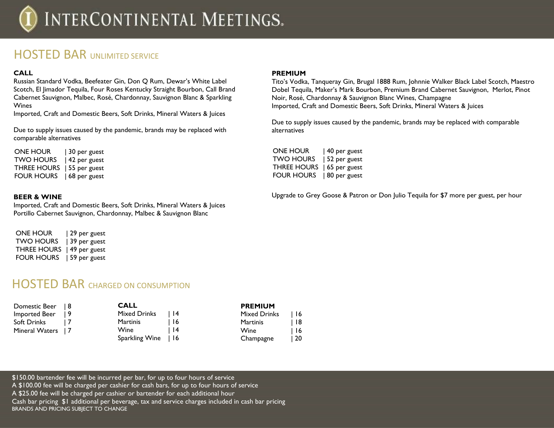### **HOSTED BAR UNLIMITED SERVICE**

### **CALL**

Russian Standard Vodka, Beefeater Gin, Don Q Rum, Dewar's White Label Scotch, El Jimador Tequila, Four Roses Kentucky Straight Bourbon, Call Brand Cabernet Sauvignon, Malbec, Rosé, Chardonnay, Sauvignon Blanc & Sparkling Wines

Imported, Craft and Domestic Beers, Soft Drinks, Mineral Waters & Juices

Due to supply issues caused by the pandemic, brands may be replaced with comparable alternatives

ONE HOUR | 30 per guest TWO HOURS | 42 per guest THREE HOURS | 55 per guest FOUR HOURS | 68 per guest

### **BEER & WINE**

Imported, Craft and Domestic Beers, Soft Drinks, Mineral Waters & Juices Portillo Cabernet Sauvignon, Chardonnay, Malbec & Sauvignon Blanc

| <b>ONE HOUR</b>    | 29 per guest |
|--------------------|--------------|
| <b>TWO HOURS</b>   | 39 per guest |
| <b>THREE HOURS</b> | 49 per guest |
| <b>FOUR HOURS</b>  | 59 per guest |

### HOSTED BAR CHARGED ON CONSUMPTION

| Domestic Beer   8  | <b>CALL</b>         |             | <b>PREMIUM</b>      |      |
|--------------------|---------------------|-------------|---------------------|------|
| Imported Beer      | Mixed Drinks        | <u> 114</u> | <b>Mixed Drinks</b> | l 16 |
| Soft Drinks        | Martinis            | -16         | <b>Martinis</b>     | ∣ 18 |
| Mineral Waters   7 | Wine                | l 14        | Wine                | l 16 |
|                    | Sparkling Wine   16 |             | Champagne           | l 20 |

### **PREMIUM**

Tito's Vodka, Tanqueray Gin, Brugal 1888 Rum, Johnnie Walker Black Label Scotch, Maestro Dobel Tequila, Maker's Mark Bourbon, Premium Brand Cabernet Sauvignon, Merlot, Pinot Noir, Rosé, Chardonnay & Sauvignon Blanc Wines, Champagne Imported, Craft and Domestic Beers, Soft Drinks, Mineral Waters & Juices

Due to supply issues caused by the pandemic, brands may be replaced with comparable alternatives

| <b>ONE HOUR</b>    | 40 per guest |
|--------------------|--------------|
| <b>TWO HOURS</b>   | 52 per guest |
| <b>THREE HOURS</b> | 65 per guest |
| FOUR HOURS         | 80 per guest |

Upgrade to Grey Goose & Patron or Don Julio Tequila for \$7 more per guest, per hour

\$150.00 bartender fee will be incurred per bar, for up to four hours of service A \$100.00 fee will be charged per cashier for cash bars, for up to four hours of service A \$25.00 fee will be charged per cashier or bartender for each additional hour Cash bar pricing \$1 additional per beverage, tax and service charges included in cash bar pricing BRANDS AND PRICING SUBJECT TO CHANGE